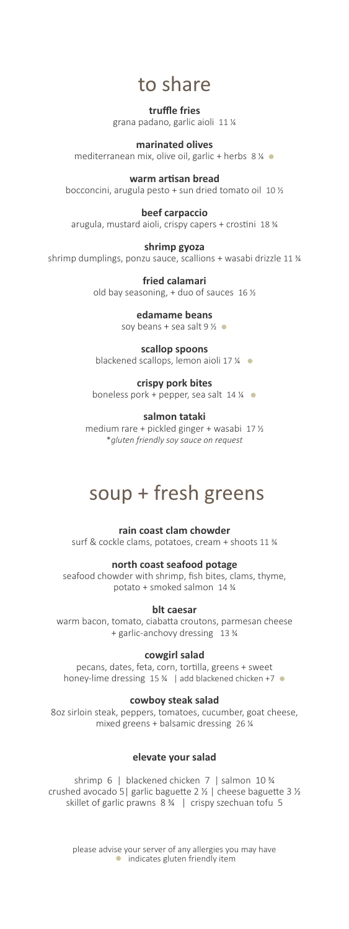## to share

**truffle fries** grana padano, garlic aioli 11 ¼

**marinated olives** mediterranean mix, olive oil, garlic + herbs  $8\%$ 

warm artisan bread bocconcini, arugula pesto + sun dried tomato oil 10 ½

**beef carpaccio** arugula, mustard aioli, crispy capers + crostini 18  $\frac{3}{4}$ 

#### **shrimp gyoza**

shrimp dumplings, ponzu sauce, scallions + wasabi drizzle 11 ¾

**fried calamari** old bay seasoning,  $+$  duo of sauces 16  $\frac{1}{2}$ 

## **edamame beans**

soy beans + sea salt  $9\%$ 

## **scallop spoons**

blackened scallops, lemon aioli 17 ¼ ●

## **crispy pork bites**

boneless pork + pepper, sea salt  $14\%$ 

## **salmon tataki**

medium rare + pickled ginger + wasabi 17 ½ \**gluten friendly soy sauce on request*

# soup + fresh greens

**rain coast clam chowder** surf & cockle clams, potatoes, cream + shoots 11 ¾

## **north coast seafood potage**

seafood chowder with shrimp, fish bites, clams, thyme, potato + smoked salmon 14 ¾

## **blt caesar**

warm bacon, tomato, ciabatta croutons, parmesan cheese + garlic-anchovy dressing 13 ¾

## **cowgirl salad**

pecans, dates, feta, corn, tortilla, greens + sweet honey-lime dressing 15 ¾ | add blackened chicken +7 ●

## **cowboy steak salad**

8oz sirloin steak, peppers, tomatoes, cucumber, goat cheese, mixed greens + balsamic dressing 26 ¼

## **elevate your salad**

shrimp 6 | blackened chicken 7 | salmon 10 ¾ crushed avocado 5 | garlic baguette 2  $\frac{1}{2}$  | cheese baguette 3  $\frac{1}{2}$ skillet of garlic prawns  $8\frac{3}{4}$  | crispy szechuan tofu 5

please advise your server of any allergies you may have ● indicates gluten friendly item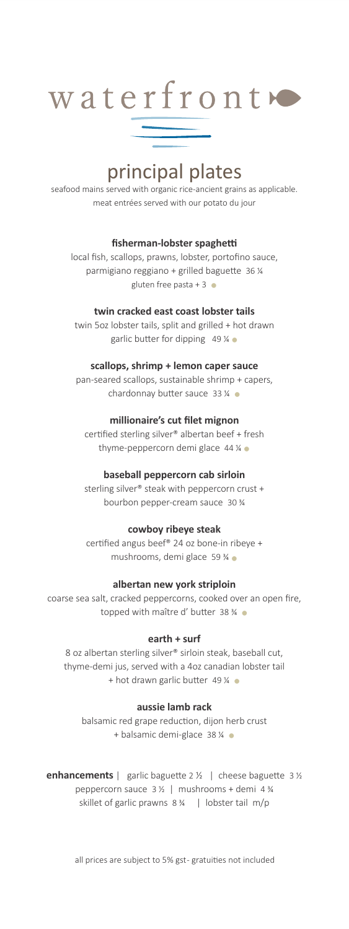

# principal plates

seafood mains served with organic rice-ancient grains as applicable. meat entrées served with our potato du jour

#### **fisherman-lobster spaghe**

local fish, scallops, prawns, lobster, portofino sauce, parmigiano reggiano + grilled baguette 36 % gluten free pasta + 3  $\bullet$ 

#### **twin cracked east coast lobster tails**

twin 5oz lobster tails, split and grilled + hot drawn garlic butter for dipping 49  $\frac{1}{4}$   $\bullet$ 

#### **scallops, shrimp + lemon caper sauce**

pan-seared scallops, sustainable shrimp + capers, chardonnay butter sauce  $33\%$ 

#### **millionaire's cut filet mignon**

certified sterling silver® albertan beef + fresh thyme-peppercorn demi glace  $44\%$ 

#### **baseball peppercorn cab sirloin**

sterling silver® steak with peppercorn crust + bourbon pepper-cream sauce 30 ¾

#### **cowboy ribeye steak**

certified angus beef® 24 oz bone-in ribeye + mushrooms, demi glace 59 ¾ ●

#### **albertan new york striploin**

coarse sea salt, cracked peppercorns, cooked over an open fire, topped with maître d' butter 38 ¾

#### **earth + surf**

8 oz albertan sterling silver® sirloin steak, baseball cut, thyme-demi jus, served with a 4oz canadian lobster tail + hot drawn garlic butter 49  $\frac{1}{4}$   $\bullet$ 

#### **aussie lamb rack**

balsamic red grape reduction, dijon herb crust + balsamic demi-glace 38 % •

**enhancements** | garlic baguette 2  $\frac{1}{2}$  | cheese baguette 3  $\frac{1}{2}$ peppercorn sauce 3 ½ | mushrooms + demi 4 ¾ skillet of garlic prawns 8 ¾ | lobster tail m/p

all prices are subject to 5% gst-gratuities not included